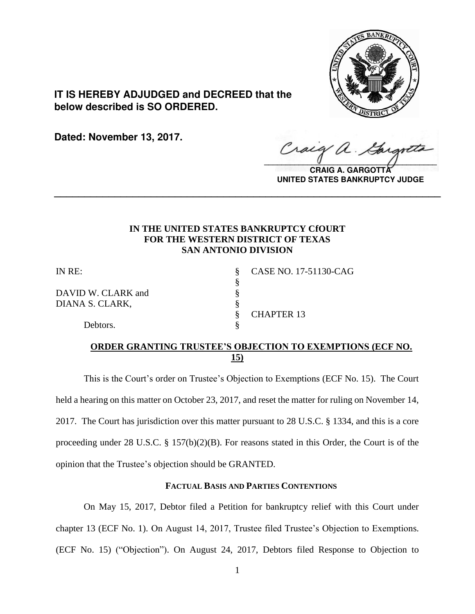

**IT IS HEREBY ADJUDGED and DECREED that the below described is SO ORDERED.**

**Dated: November 13, 2017.**

Craig  $\sqrt{2}$ 

**CRAIG A. GARGOTTA UNITED STATES BANKRUPTCY JUDGE**

## **IN THE UNITED STATES BANKRUPTCY CfOURT FOR THE WESTERN DISTRICT OF TEXAS SAN ANTONIO DIVISION**

**\_\_\_\_\_\_\_\_\_\_\_\_\_\_\_\_\_\_\_\_\_\_\_\_\_\_\_\_\_\_\_\_\_\_\_\_\_\_\_\_\_\_\_\_\_\_\_\_\_\_\_\_\_\_\_\_\_\_\_\_\_\_\_\_**

§

DAVID W. CLARK and  $\S$ <br>DIANA S. CLARK,  $\S$ DIANA S. CLARK,

IN RE: § CASE NO. 17-51130-CAG § CHAPTER 13

Debtors.

# **ORDER GRANTING TRUSTEE'S OBJECTION TO EXEMPTIONS (ECF NO. 15)**

This is the Court's order on Trustee's Objection to Exemptions (ECF No. 15). The Court held a hearing on this matter on October 23, 2017, and reset the matter for ruling on November 14, 2017. The Court has jurisdiction over this matter pursuant to 28 U.S.C. § 1334, and this is a core proceeding under 28 U.S.C. § 157(b)(2)(B). For reasons stated in this Order, the Court is of the opinion that the Trustee's objection should be GRANTED.

## **FACTUAL BASIS AND PARTIES CONTENTIONS**

On May 15, 2017, Debtor filed a Petition for bankruptcy relief with this Court under chapter 13 (ECF No. 1). On August 14, 2017, Trustee filed Trustee's Objection to Exemptions. (ECF No. 15) ("Objection"). On August 24, 2017, Debtors filed Response to Objection to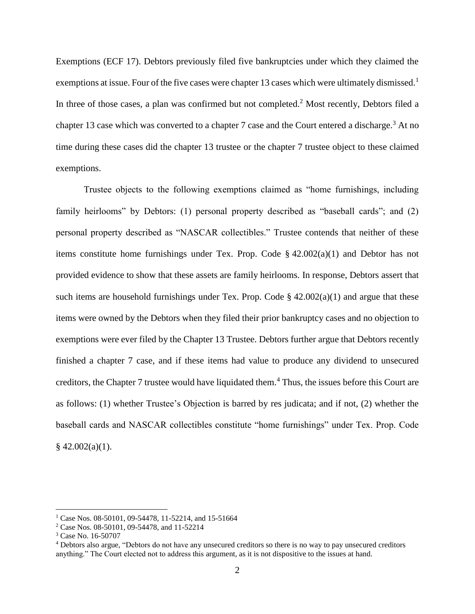Exemptions (ECF 17). Debtors previously filed five bankruptcies under which they claimed the exemptions at issue. Four of the five cases were chapter 13 cases which were ultimately dismissed.<sup>1</sup> In three of those cases, a plan was confirmed but not completed.<sup>2</sup> Most recently, Debtors filed a chapter 13 case which was converted to a chapter 7 case and the Court entered a discharge.<sup>3</sup> At no time during these cases did the chapter 13 trustee or the chapter 7 trustee object to these claimed exemptions.

Trustee objects to the following exemptions claimed as "home furnishings, including family heirlooms" by Debtors: (1) personal property described as "baseball cards"; and (2) personal property described as "NASCAR collectibles." Trustee contends that neither of these items constitute home furnishings under Tex. Prop. Code § 42.002(a)(1) and Debtor has not provided evidence to show that these assets are family heirlooms. In response, Debtors assert that such items are household furnishings under Tex. Prop. Code  $\S$  42.002(a)(1) and argue that these items were owned by the Debtors when they filed their prior bankruptcy cases and no objection to exemptions were ever filed by the Chapter 13 Trustee. Debtors further argue that Debtors recently finished a chapter 7 case, and if these items had value to produce any dividend to unsecured creditors, the Chapter 7 trustee would have liquidated them.<sup>4</sup> Thus, the issues before this Court are as follows: (1) whether Trustee's Objection is barred by res judicata; and if not, (2) whether the baseball cards and NASCAR collectibles constitute "home furnishings" under Tex. Prop. Code  $§$  42.002(a)(1).

<sup>&</sup>lt;sup>1</sup> Case Nos. 08-50101, 09-54478, 11-52214, and 15-51664

<sup>2</sup> Case Nos. 08-50101, 09-54478, and 11-52214

<sup>3</sup> Case No. 16-50707

<sup>4</sup> Debtors also argue, "Debtors do not have any unsecured creditors so there is no way to pay unsecured creditors anything." The Court elected not to address this argument, as it is not dispositive to the issues at hand.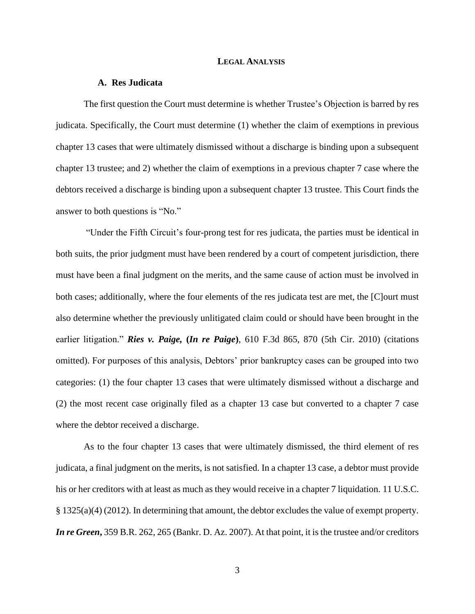#### **LEGAL ANALYSIS**

### **A. Res Judicata**

The first question the Court must determine is whether Trustee's Objection is barred by res judicata. Specifically, the Court must determine (1) whether the claim of exemptions in previous chapter 13 cases that were ultimately dismissed without a discharge is binding upon a subsequent chapter 13 trustee; and 2) whether the claim of exemptions in a previous chapter 7 case where the debtors received a discharge is binding upon a subsequent chapter 13 trustee. This Court finds the answer to both questions is "No."

"Under the Fifth Circuit's four-prong test for res judicata, the parties must be identical in both suits, the prior judgment must have been rendered by a court of competent jurisdiction, there must have been a final judgment on the merits, and the same cause of action must be involved in both cases; additionally, where the four elements of the res judicata test are met, the [C]ourt must also determine whether the previously unlitigated claim could or should have been brought in the earlier litigation." *Ries v. Paige,* **(***In re Paige***)**, 610 F.3d 865, 870 (5th Cir. 2010) (citations omitted). For purposes of this analysis, Debtors' prior bankruptcy cases can be grouped into two categories: (1) the four chapter 13 cases that were ultimately dismissed without a discharge and (2) the most recent case originally filed as a chapter 13 case but converted to a chapter 7 case where the debtor received a discharge.

As to the four chapter 13 cases that were ultimately dismissed, the third element of res judicata, a final judgment on the merits, is not satisfied. In a chapter 13 case, a debtor must provide his or her creditors with at least as much as they would receive in a chapter 7 liquidation. 11 U.S.C. § 1325(a)(4) (2012). In determining that amount, the debtor excludes the value of exempt property. *In re Green***,** 359 B.R. 262, 265 (Bankr. D. Az. 2007). At that point, it is the trustee and/or creditors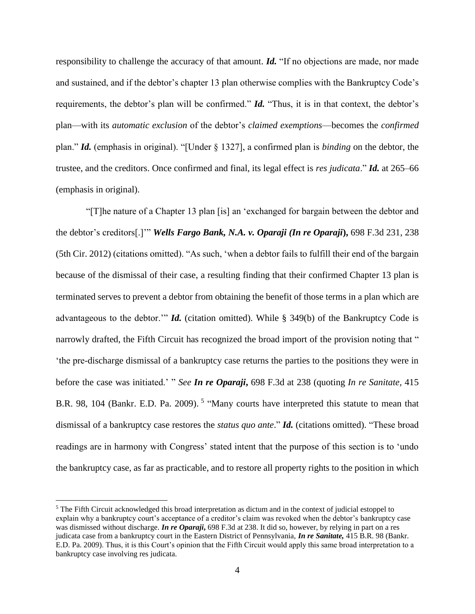responsibility to challenge the accuracy of that amount. *Id.* "If no objections are made, nor made and sustained, and if the debtor's chapter 13 plan otherwise complies with the Bankruptcy Code's requirements, the debtor's plan will be confirmed." *Id.* "Thus, it is in that context, the debtor's plan—with its *automatic exclusion* of the debtor's *claimed exemptions*—becomes the *confirmed*  plan." *Id.* (emphasis in original). "[Under § 1327], a confirmed plan is *binding* on the debtor, the trustee, and the creditors. Once confirmed and final, its legal effect is *res judicata*." *Id.* at 265–66 (emphasis in original).

"[T]he nature of a Chapter 13 plan [is] an 'exchanged for bargain between the debtor and the debtor's creditors[.]'" *Wells Fargo Bank, N.A. v. Oparaji (In re Oparaji***),** 698 F.3d 231, 238 (5th Cir. 2012) (citations omitted). "As such, 'when a debtor fails to fulfill their end of the bargain because of the dismissal of their case, a resulting finding that their confirmed Chapter 13 plan is terminated serves to prevent a debtor from obtaining the benefit of those terms in a plan which are advantageous to the debtor.'" *Id.* (citation omitted). While § 349(b) of the Bankruptcy Code is narrowly drafted, the Fifth Circuit has recognized the broad import of the provision noting that " 'the pre-discharge dismissal of a bankruptcy case returns the parties to the positions they were in before the case was initiated.' " *See In re Oparaji***,** 698 F.3d at 238 (quoting *In re Sanitate,* 415 B.R. 98, 104 (Bankr. E.D. Pa. 2009).<sup>5</sup> "Many courts have interpreted this statute to mean that dismissal of a bankruptcy case restores the *status quo ante*." *Id.* (citations omitted). "These broad readings are in harmony with Congress' stated intent that the purpose of this section is to 'undo the bankruptcy case, as far as practicable, and to restore all property rights to the position in which

<sup>&</sup>lt;sup>5</sup> The Fifth Circuit acknowledged this broad interpretation as dictum and in the context of judicial estoppel to explain why a bankruptcy court's acceptance of a creditor's claim was revoked when the debtor's bankruptcy case was dismissed without discharge. *In re Oparaji*, 698 F.3d at 238. It did so, however, by relying in part on a res judicata case from a bankruptcy court in the Eastern District of Pennsylvania, *In re Sanitate,* 415 B.R. 98 (Bankr. E.D. Pa. 2009). Thus, it is this Court's opinion that the Fifth Circuit would apply this same broad interpretation to a bankruptcy case involving res judicata.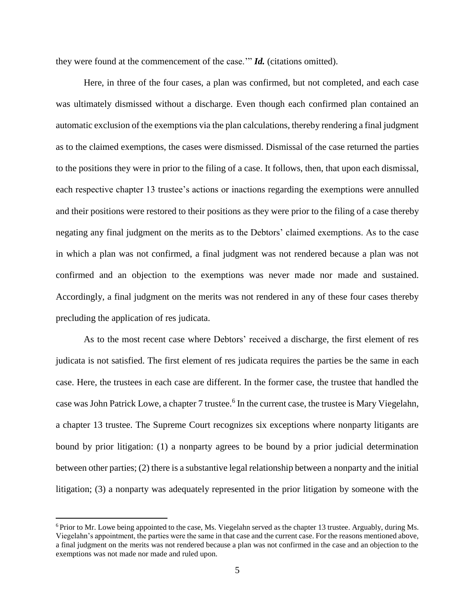they were found at the commencement of the case.'" *Id.* (citations omitted).

Here, in three of the four cases, a plan was confirmed, but not completed, and each case was ultimately dismissed without a discharge. Even though each confirmed plan contained an automatic exclusion of the exemptions via the plan calculations, thereby rendering a final judgment as to the claimed exemptions, the cases were dismissed. Dismissal of the case returned the parties to the positions they were in prior to the filing of a case. It follows, then, that upon each dismissal, each respective chapter 13 trustee's actions or inactions regarding the exemptions were annulled and their positions were restored to their positions as they were prior to the filing of a case thereby negating any final judgment on the merits as to the Debtors' claimed exemptions. As to the case in which a plan was not confirmed, a final judgment was not rendered because a plan was not confirmed and an objection to the exemptions was never made nor made and sustained. Accordingly, a final judgment on the merits was not rendered in any of these four cases thereby precluding the application of res judicata.

As to the most recent case where Debtors' received a discharge, the first element of res judicata is not satisfied. The first element of res judicata requires the parties be the same in each case. Here, the trustees in each case are different. In the former case, the trustee that handled the case was John Patrick Lowe, a chapter 7 trustee.<sup>6</sup> In the current case, the trustee is Mary Viegelahn, a chapter 13 trustee. The Supreme Court recognizes six exceptions where nonparty litigants are bound by prior litigation: (1) a nonparty agrees to be bound by a prior judicial determination between other parties; (2) there is a substantive legal relationship between a nonparty and the initial litigation; (3) a nonparty was adequately represented in the prior litigation by someone with the

<sup>6</sup> Prior to Mr. Lowe being appointed to the case, Ms. Viegelahn served as the chapter 13 trustee. Arguably, during Ms. Viegelahn's appointment, the parties were the same in that case and the current case. For the reasons mentioned above, a final judgment on the merits was not rendered because a plan was not confirmed in the case and an objection to the exemptions was not made nor made and ruled upon.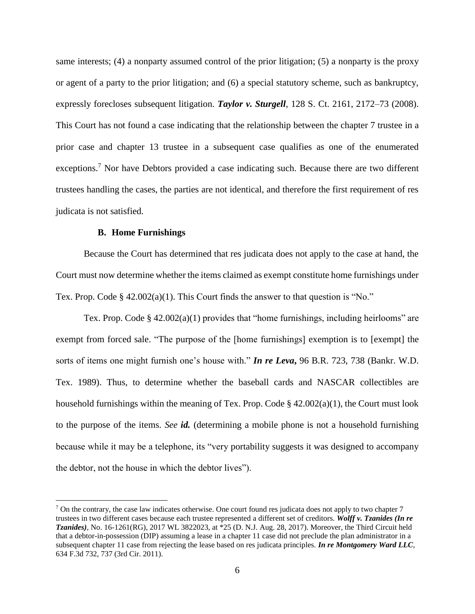same interests; (4) a nonparty assumed control of the prior litigation; (5) a nonparty is the proxy or agent of a party to the prior litigation; and (6) a special statutory scheme, such as bankruptcy, expressly forecloses subsequent litigation. *Taylor v. Sturgell*, 128 S. Ct. 2161, 2172–73 (2008). This Court has not found a case indicating that the relationship between the chapter 7 trustee in a prior case and chapter 13 trustee in a subsequent case qualifies as one of the enumerated exceptions.<sup>7</sup> Nor have Debtors provided a case indicating such. Because there are two different trustees handling the cases, the parties are not identical, and therefore the first requirement of res judicata is not satisfied.

## **B. Home Furnishings**

 $\overline{a}$ 

Because the Court has determined that res judicata does not apply to the case at hand, the Court must now determine whether the items claimed as exempt constitute home furnishings under Tex. Prop. Code § 42.002(a)(1). This Court finds the answer to that question is "No."

Tex. Prop. Code  $\S$  42.002(a)(1) provides that "home furnishings, including heirlooms" are exempt from forced sale. "The purpose of the [home furnishings] exemption is to [exempt] the sorts of items one might furnish one's house with." *In re Leva***,** 96 B.R. 723, 738 (Bankr. W.D. Tex. 1989). Thus, to determine whether the baseball cards and NASCAR collectibles are household furnishings within the meaning of Tex. Prop. Code  $\S$  42.002(a)(1), the Court must look to the purpose of the items. *See id.* (determining a mobile phone is not a household furnishing because while it may be a telephone, its "very portability suggests it was designed to accompany the debtor, not the house in which the debtor lives").

 $^7$  On the contrary, the case law indicates otherwise. One court found res judicata does not apply to two chapter 7 trustees in two different cases because each trustee represented a different set of creditors. *Wolff v. Tzanides (In re Tzanides)*, No. 16-1261(RG), 2017 WL 3822023, at \*25 (D. N.J. Aug. 28, 2017). Moreover, the Third Circuit held that a debtor-in-possession (DIP) assuming a lease in a chapter 11 case did not preclude the plan administrator in a subsequent chapter 11 case from rejecting the lease based on res judicata principles. *In re Montgomery Ward LLC*, 634 F.3d 732, 737 (3rd Cir. 2011).